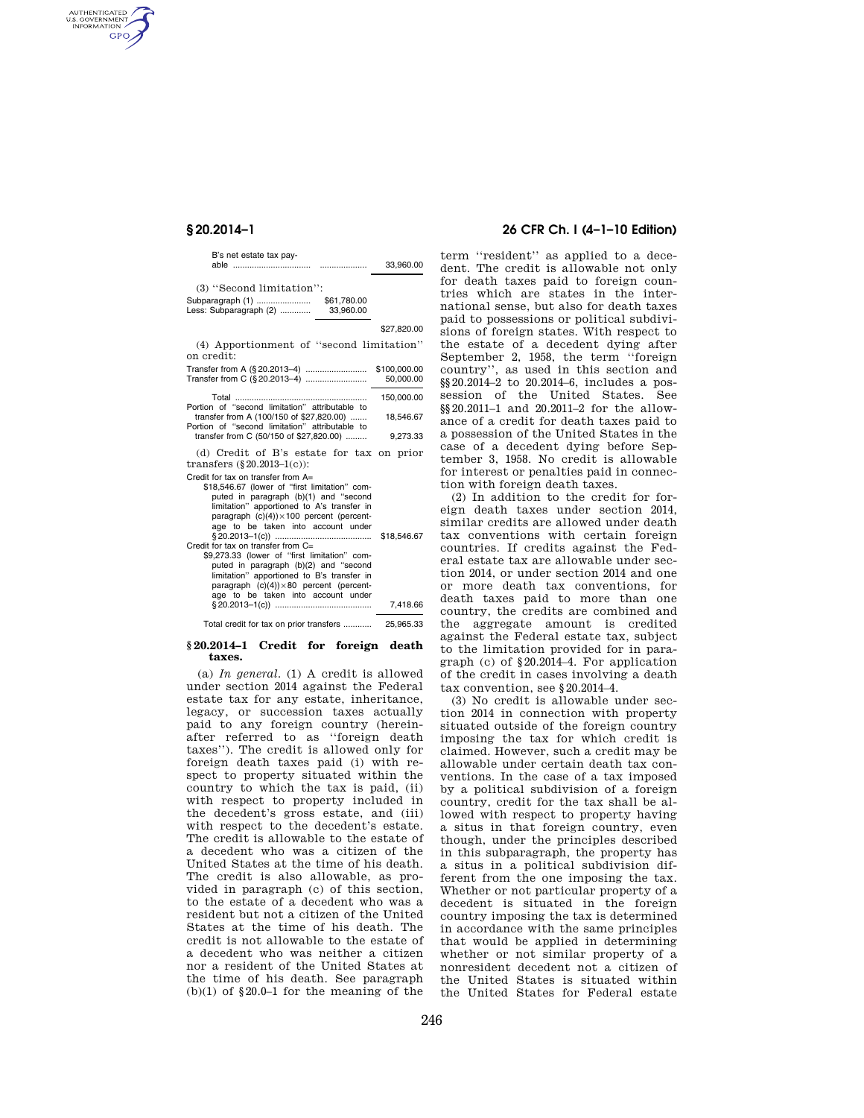AUTHENTICATED<br>U.S. GOVERNMENT<br>INFORMATION **GPO** 

| B's net estate tax pay-                      |             | 33.960.00   |
|----------------------------------------------|-------------|-------------|
| (3) "Second limitation":<br>Subparagraph (1) | \$61.780.00 |             |
| Less: Subparagraph (2)                       | 33.960.00   | \$27,820.00 |
| Apportionment of "second limitation"         |             |             |

(4) Apportionment of ''second limitation'' on credit: Transfer from A (§ 20.2013–4) .......................... \$100,000.00

| $11$ all $360.000$ .00.00.00                                                               | 50.000.00  |
|--------------------------------------------------------------------------------------------|------------|
|                                                                                            | 150.000.00 |
| Portion of "second limitation" attributable to<br>transfer from A (100/150 of \$27,820.00) | 18.546.67  |
| Portion of "second limitation" attributable to                                             |            |
| transfer from C (50/150 of \$27.820.00)                                                    | 9.273.33   |

(d) Credit of B's estate for tax on prior transfers (§20.2013–1(c)):

|  |  |  | Credit for tax on transfer from $A=$ |  |
|--|--|--|--------------------------------------|--|

| – הוטוו וטוניווט ווט ווט ווט ווטור                |             |
|---------------------------------------------------|-------------|
| \$18,546.67 (lower of "first limitation" com-     |             |
| puted in paragraph (b)(1) and "second             |             |
| limitation" apportioned to A's transfer in        |             |
| paragraph $(c)(4)) \times 100$ percent (percent-  |             |
| age to be taken into account under                |             |
|                                                   | \$18,546.67 |
| Credit for tax on transfer from $C =$             |             |
| \$9,273.33 (lower of "first limitation" com-      |             |
| puted in paragraph (b)(2) and "second             |             |
| limitation" apportioned to B's transfer in        |             |
| paragraph $(c)(4) \times 80$ percent (percent-    |             |
| age to be taken into account under                |             |
|                                                   | 7.418.66    |
| Total credit for tax on prior transfers 35 965 33 |             |

#### **§ 20.2014–1 Credit for foreign death taxes.**

(a) *In general.* (1) A credit is allowed under section 2014 against the Federal estate tax for any estate, inheritance, legacy, or succession taxes actually paid to any foreign country (hereinafter referred to as ''foreign death taxes''). The credit is allowed only for foreign death taxes paid (i) with respect to property situated within the country to which the tax is paid, (ii) with respect to property included in the decedent's gross estate, and (iii) with respect to the decedent's estate. The credit is allowable to the estate of a decedent who was a citizen of the United States at the time of his death. The credit is also allowable, as provided in paragraph (c) of this section, to the estate of a decedent who was a resident but not a citizen of the United States at the time of his death. The credit is not allowable to the estate of a decedent who was neither a citizen nor a resident of the United States at the time of his death. See paragraph  $(b)(1)$  of §20.0–1 for the meaning of the

## **§ 20.2014–1 26 CFR Ch. I (4–1–10 Edition)**

term ''resident'' as applied to a decedent. The credit is allowable not only for death taxes paid to foreign countries which are states in the international sense, but also for death taxes paid to possessions or political subdivisions of foreign states. With respect to the estate of a decedent dying after September 2, 1958, the term ''foreign country'', as used in this section and §§20.2014–2 to 20.2014–6, includes a possession of the United States. See §§20.2011–1 and 20.2011–2 for the allowance of a credit for death taxes paid to a possession of the United States in the case of a decedent dying before September 3, 1958. No credit is allowable for interest or penalties paid in connection with foreign death taxes.

(2) In addition to the credit for foreign death taxes under section 2014, similar credits are allowed under death tax conventions with certain foreign countries. If credits against the Federal estate tax are allowable under section 2014, or under section 2014 and one or more death tax conventions, for death taxes paid to more than one country, the credits are combined and the aggregate amount is credited against the Federal estate tax, subject to the limitation provided for in paragraph (c) of §20.2014–4. For application of the credit in cases involving a death tax convention, see §20.2014–4.

(3) No credit is allowable under section 2014 in connection with property situated outside of the foreign country imposing the tax for which credit is claimed. However, such a credit may be allowable under certain death tax conventions. In the case of a tax imposed by a political subdivision of a foreign country, credit for the tax shall be allowed with respect to property having a situs in that foreign country, even though, under the principles described in this subparagraph, the property has a situs in a political subdivision different from the one imposing the tax. Whether or not particular property of a decedent is situated in the foreign country imposing the tax is determined in accordance with the same principles that would be applied in determining whether or not similar property of a nonresident decedent not a citizen of the United States is situated within the United States for Federal estate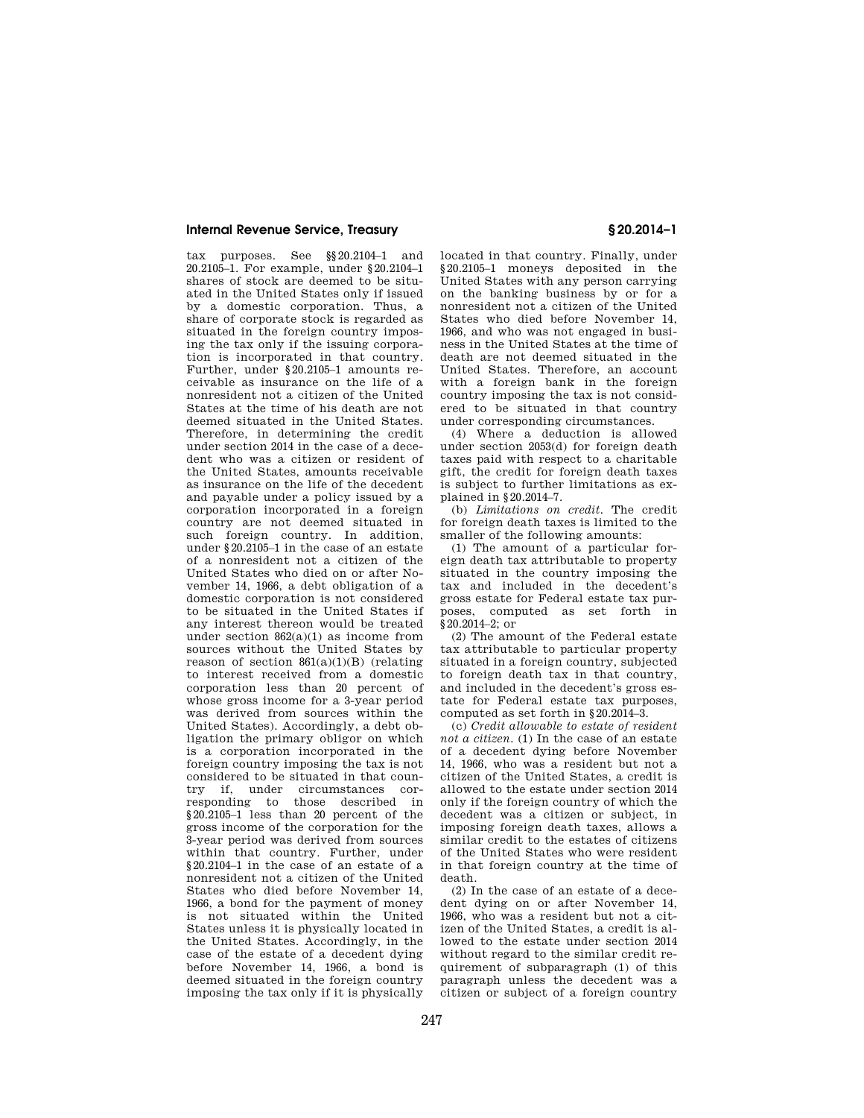### **Internal Revenue Service, Treasury § 20.2014–1**

tax purposes. See §§20.2104–1 and 20.2105–1. For example, under §20.2104–1 shares of stock are deemed to be situated in the United States only if issued by a domestic corporation. Thus, a share of corporate stock is regarded as situated in the foreign country imposing the tax only if the issuing corporation is incorporated in that country. Further, under §20.2105–1 amounts receivable as insurance on the life of a nonresident not a citizen of the United States at the time of his death are not deemed situated in the United States. Therefore, in determining the credit under section 2014 in the case of a decedent who was a citizen or resident of the United States, amounts receivable as insurance on the life of the decedent and payable under a policy issued by a corporation incorporated in a foreign country are not deemed situated in such foreign country. In addition, under §20.2105–1 in the case of an estate of a nonresident not a citizen of the United States who died on or after November 14, 1966, a debt obligation of a domestic corporation is not considered to be situated in the United States if any interest thereon would be treated under section  $862(a)(1)$  as income from sources without the United States by reason of section  $861(a)(1)(B)$  (relating to interest received from a domestic corporation less than 20 percent of whose gross income for a 3-year period was derived from sources within the United States). Accordingly, a debt obligation the primary obligor on which is a corporation incorporated in the foreign country imposing the tax is not considered to be situated in that country if, under circumstances corresponding to those described in §20.2105–1 less than 20 percent of the gross income of the corporation for the 3-year period was derived from sources within that country. Further, under §20.2104–1 in the case of an estate of a nonresident not a citizen of the United States who died before November 14, 1966, a bond for the payment of money is not situated within the United States unless it is physically located in the United States. Accordingly, in the case of the estate of a decedent dying before November 14, 1966, a bond is deemed situated in the foreign country imposing the tax only if it is physically

located in that country. Finally, under §20.2105–1 moneys deposited in the United States with any person carrying on the banking business by or for a nonresident not a citizen of the United States who died before November 14, 1966, and who was not engaged in business in the United States at the time of death are not deemed situated in the United States. Therefore, an account with a foreign bank in the foreign country imposing the tax is not considered to be situated in that country under corresponding circumstances.

(4) Where a deduction is allowed under section 2053(d) for foreign death taxes paid with respect to a charitable gift, the credit for foreign death taxes is subject to further limitations as explained in §20.2014–7.

(b) *Limitations on credit.* The credit for foreign death taxes is limited to the smaller of the following amounts:

(1) The amount of a particular foreign death tax attributable to property situated in the country imposing the tax and included in the decedent's gross estate for Federal estate tax purposes, computed as set forth in §20.2014–2; or

(2) The amount of the Federal estate tax attributable to particular property situated in a foreign country, subjected to foreign death tax in that country, and included in the decedent's gross estate for Federal estate tax purposes, computed as set forth in §20.2014–3.

(c) *Credit allowable to estate of resident not a citizen.* (1) In the case of an estate of a decedent dying before November 14, 1966, who was a resident but not a citizen of the United States, a credit is allowed to the estate under section 2014 only if the foreign country of which the decedent was a citizen or subject, in imposing foreign death taxes, allows a similar credit to the estates of citizens of the United States who were resident in that foreign country at the time of death.

(2) In the case of an estate of a decedent dying on or after November 14, 1966, who was a resident but not a citizen of the United States, a credit is allowed to the estate under section 2014 without regard to the similar credit requirement of subparagraph (1) of this paragraph unless the decedent was a citizen or subject of a foreign country